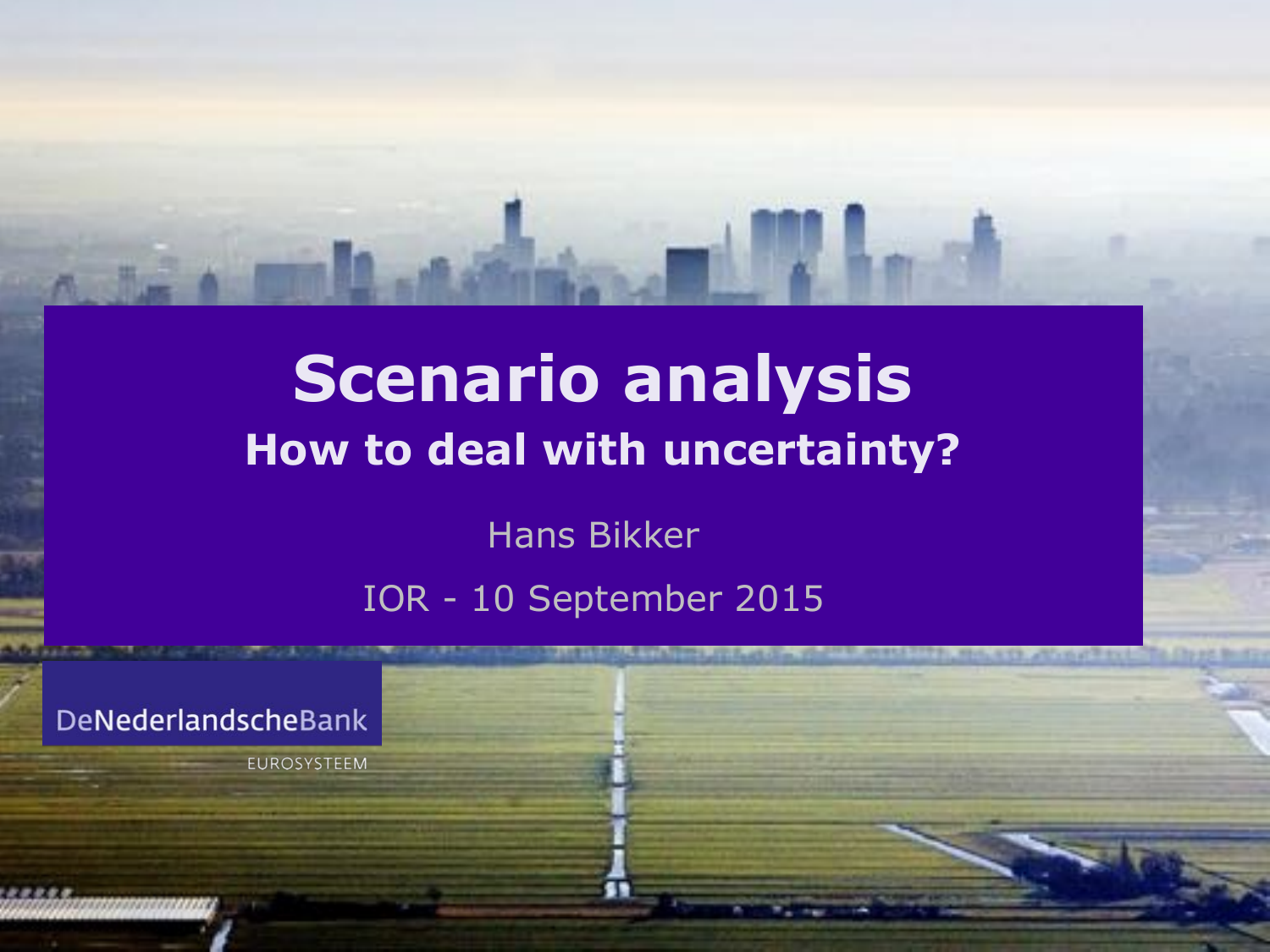# **Scenario analysis How to deal with uncertainty?**

Hans Bikker

IOR - 10 September 2015

**SELECTATIVE USE ALCOHOL VIOLENCE PIPE, MALAYE AVAILABLE** 

DeNederlandscheBank

EUROSYSTEEM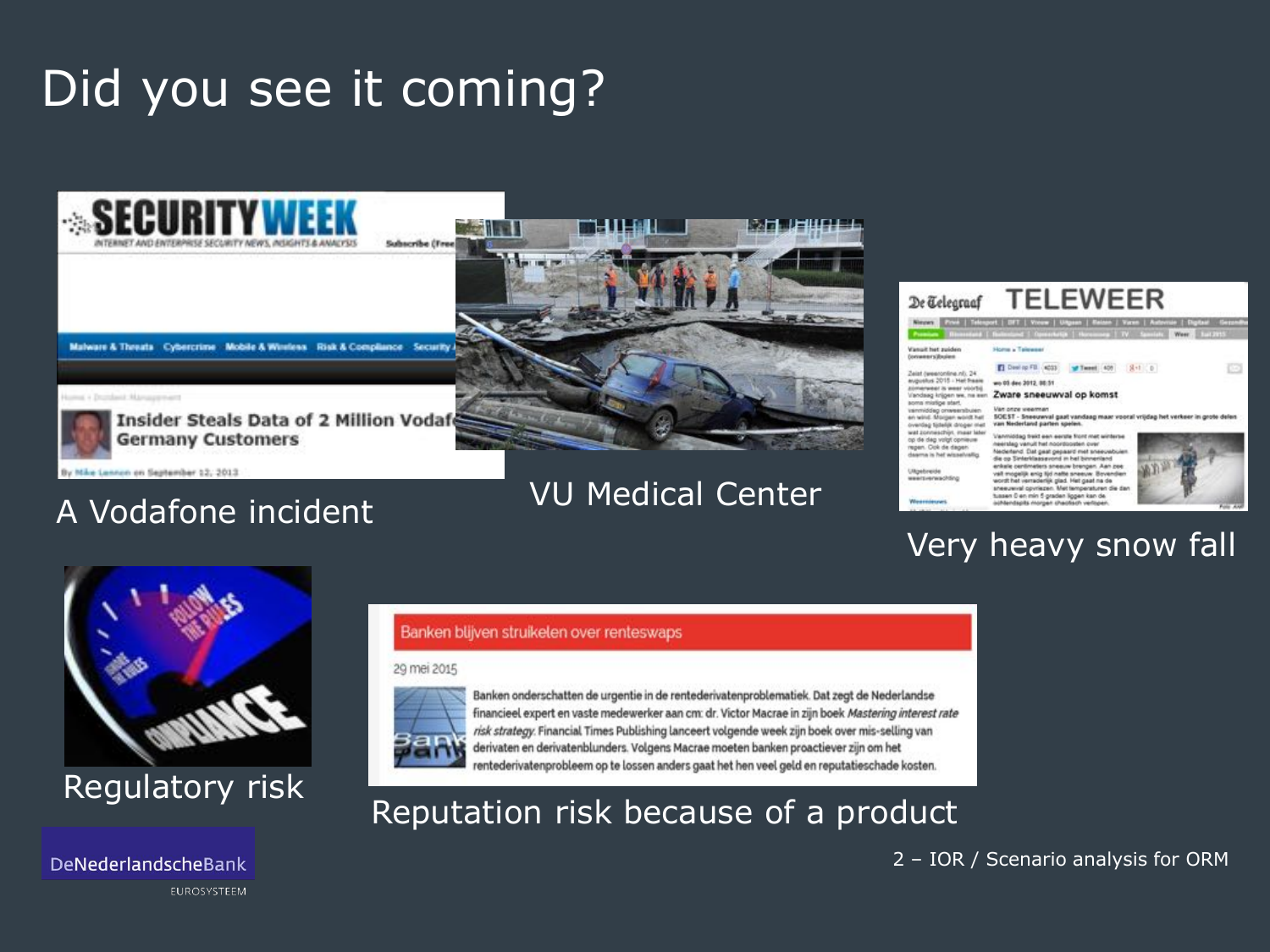## Did you see it coming?



### VU Medical Center



### Very heavy snow fall



A Vodafone incident

Lennon on September 12, 2013

DeNederlandscheBank

EUROSYSTEEM

#### Banken blijven struikelen over renteswaps

#### 29 mei 2015



Banken onderschatten de urgentie in de rentederivatenproblematiek. Dat zegt de Nederlandse financieel expert en vaste medewerker aan cm: dr. Victor Macrae in zijn boek Mastering interest rate risk strategy. Financial Times Publishing lanceert volgende week zijn boek over mis-selling van derivaten en derivatenblunders. Volgens Macrae moeten banken proactiever zijn om het

# Regulatory risk Reputation risk Regulator and the Decause of a product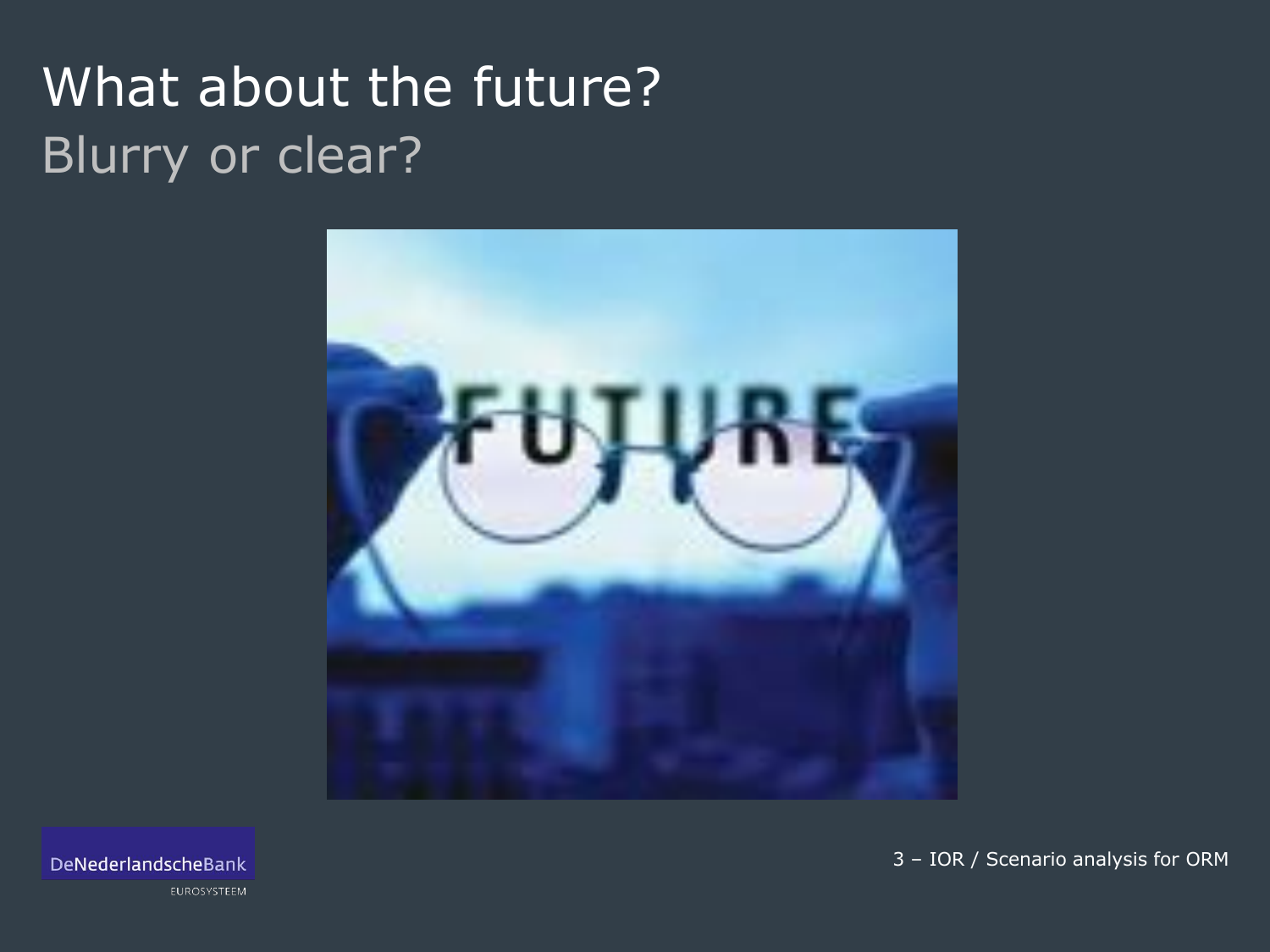# What about the future? Blurry or clear?



DeNederlandscheBank

EUROSYSTEEM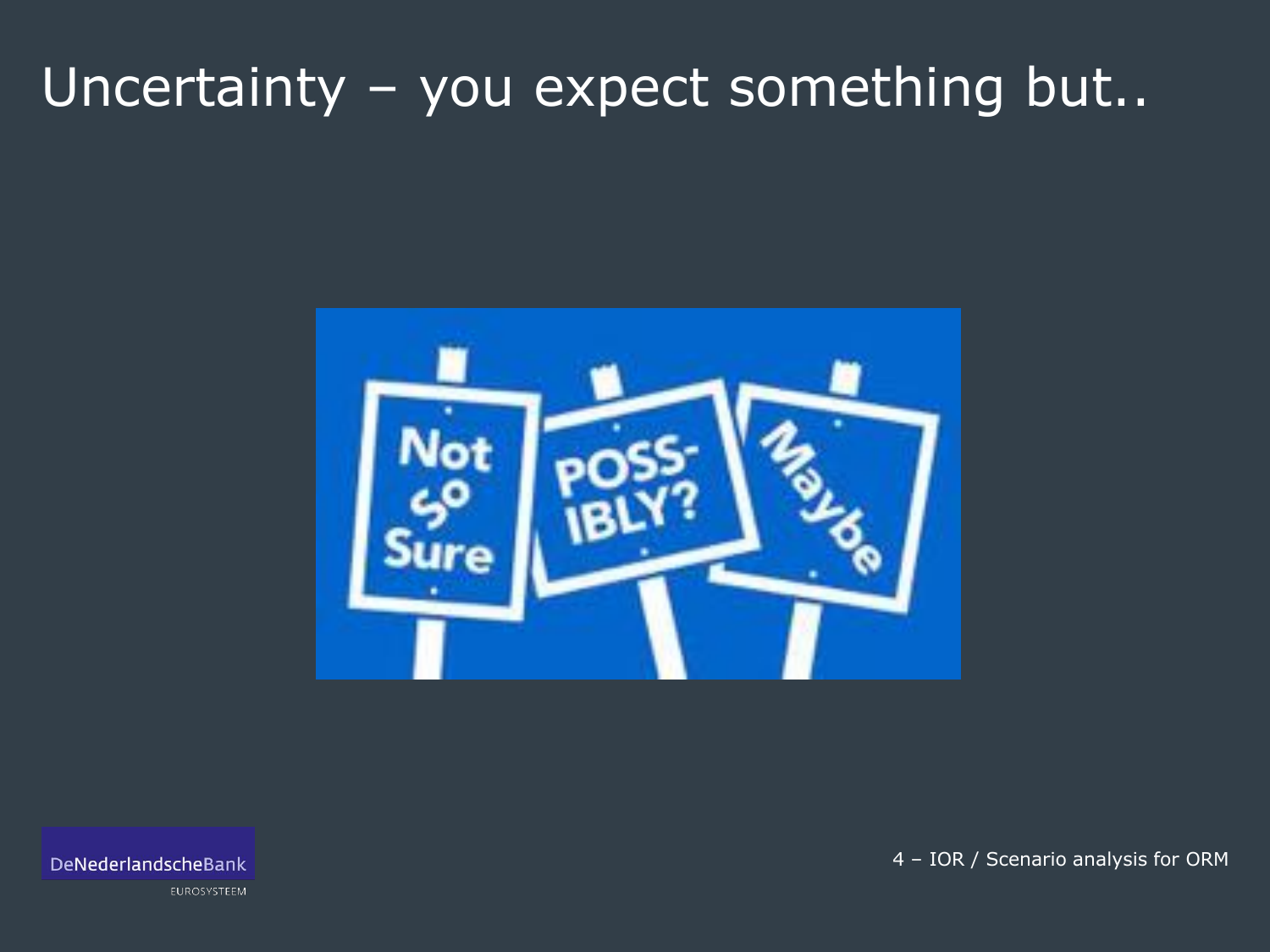## Uncertainty - you expect something but..



DeNederlandscheBank

EUROSYSTEEM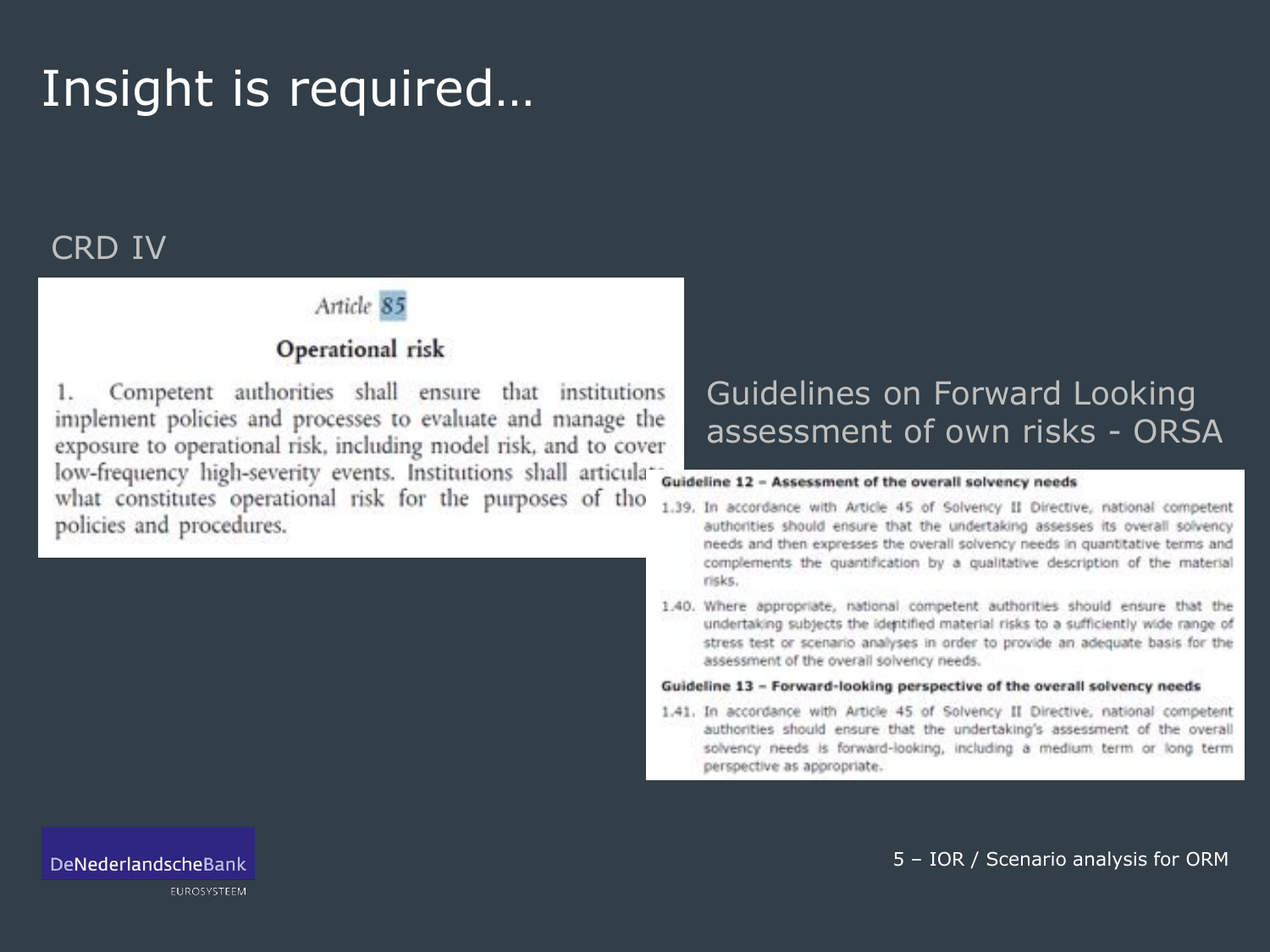### Insight is required…

### CRD IV

### Article 85

### Operational risk

Competent authorities shall ensure that institutions 1. implement policies and processes to evaluate and manage the exposure to operational risk, including model risk, and to cover low-frequency high-severity events. Institutions shall articulawhat constitutes operational risk for the purposes of tho policies and procedures.

### Guidelines on Forward Looking assessment of own risks - ORSA

#### Guideline 12 - Assessment of the overall solvency needs

- 1.39. In accordance with Article 45 of Solvency II Directive, national competent authorities should ensure that the undertaking assesses its overall solvency needs and then expresses the overall solvency needs in quantitative terms and complements the quantification by a qualitative description of the material risks.
- 1.40. Where appropriate, national competent authorities should ensure that the undertaking subjects the identified material risks to a sufficiently wide range of stress test or scenario analyses in order to provide an adequate basis for the assessment of the overall solvency needs.

#### Guideline 13 - Forward-looking perspective of the overall solvency needs

1.41. In accordance with Article 45 of Solvency II Directive, national competent authorities should ensure that the undertaking's assessment of the overall solvency needs is forward-looking, including a medium term or long term perspective as appropriate.

5 – IOR / Scenario analysis for ORM

EUROSYSTEEM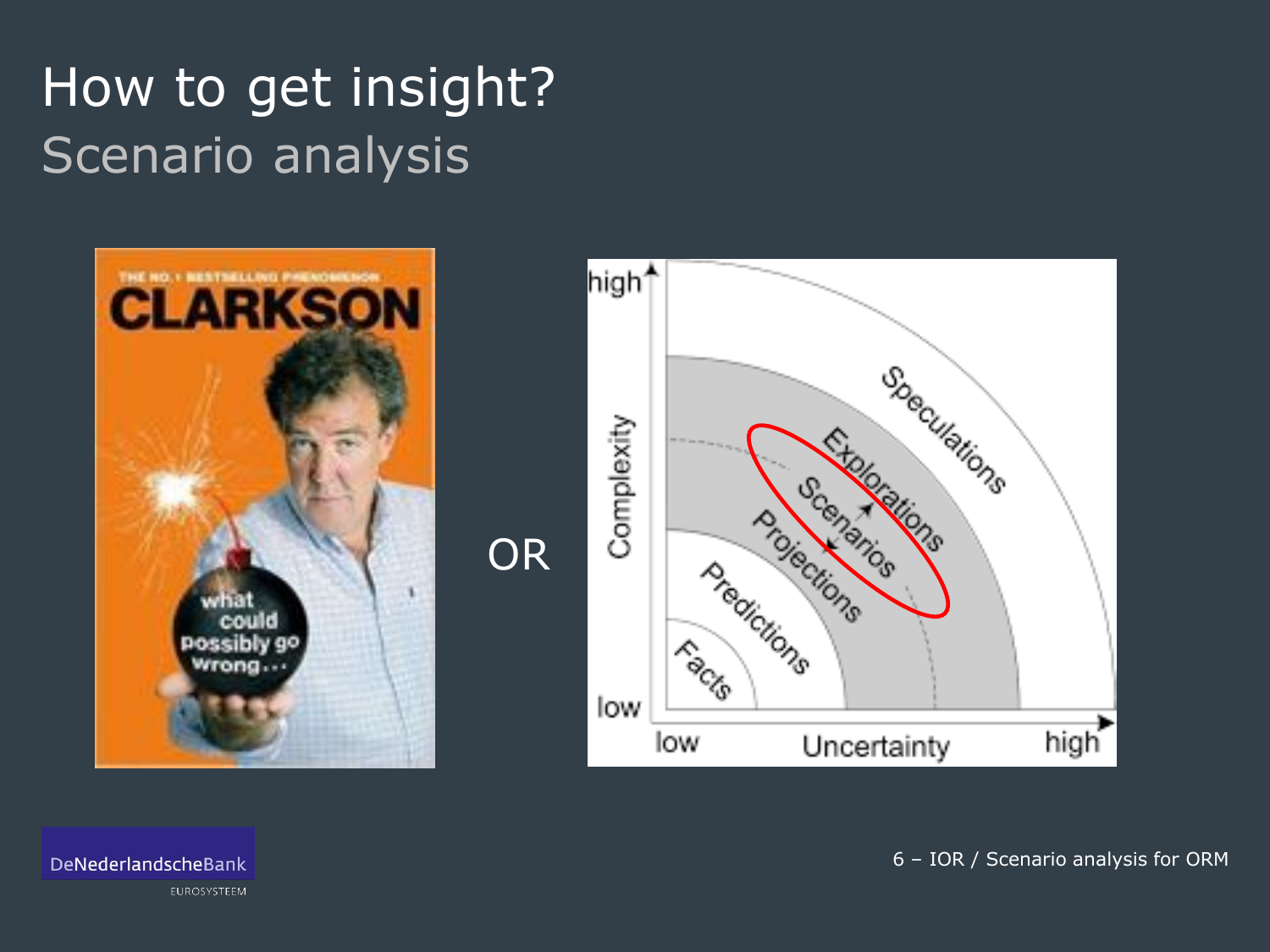# How to get insight? Scenario analysis





DeNederlandscheBank

EUROSYSTEEM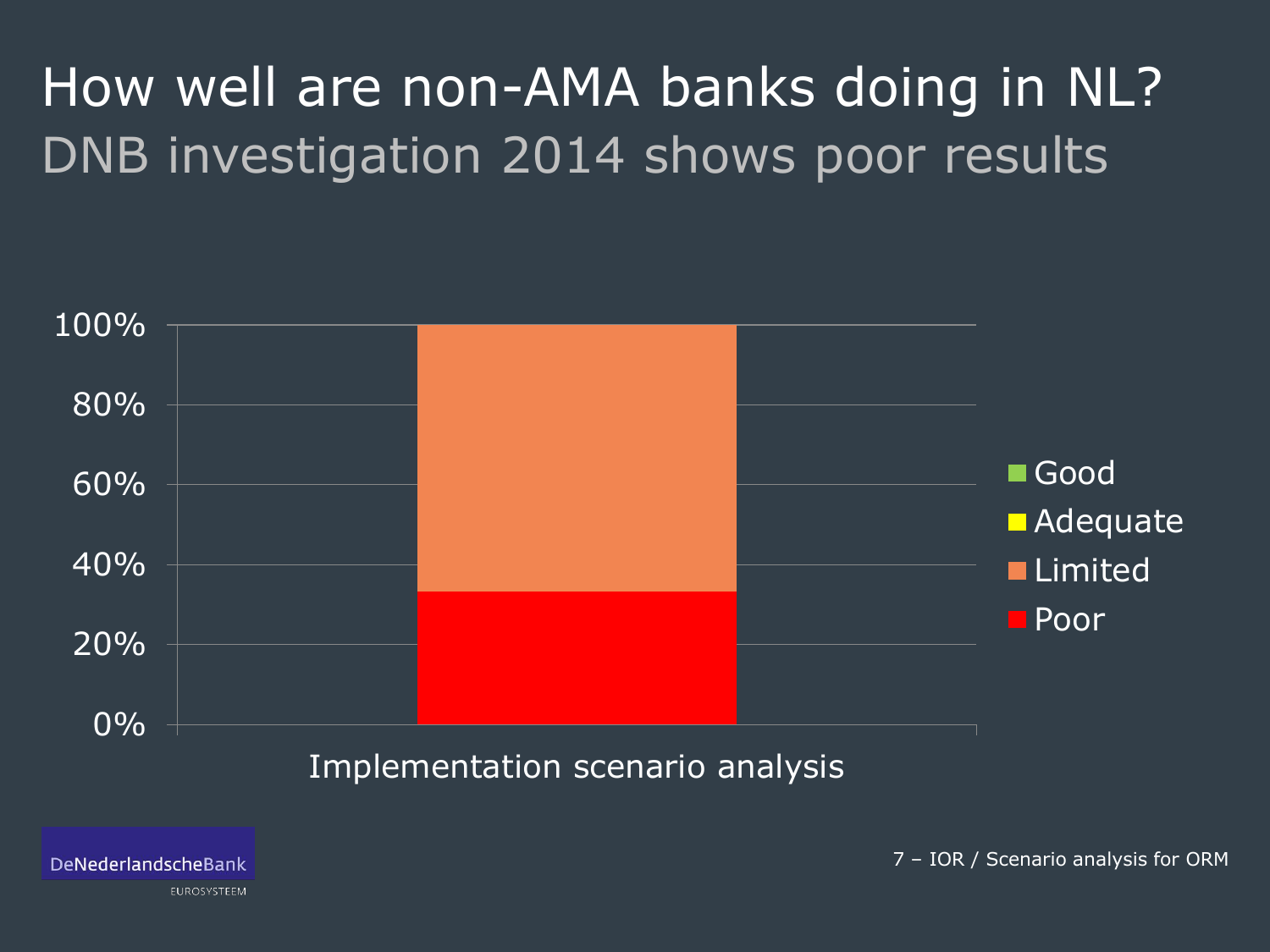# How well are non-AMA banks doing in NL? DNB investigation 2014 shows poor results



DeNederlandscheBank

EUROSYSTEEM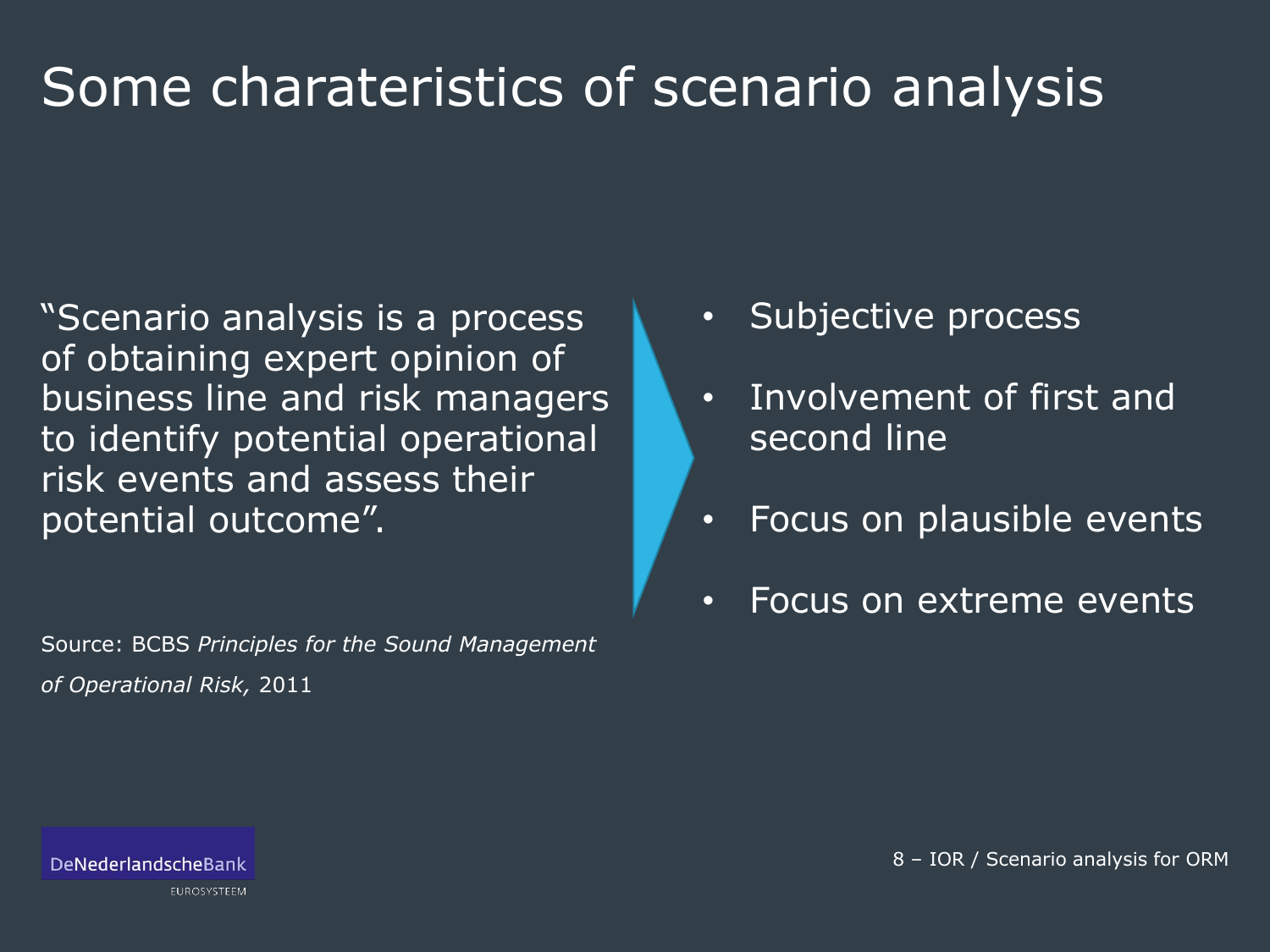# Some charateristics of scenario analysis

"Scenario analysis is a process of obtaining expert opinion of business line and risk managers to identify potential operational risk events and assess their potential outcome".

Source: BCBS *Principles for the Sound Management of Operational Risk,* 2011

- Subjective process
- Involvement of first and second line
- Focus on plausible events
- Focus on extreme events

EUROSYSTEEM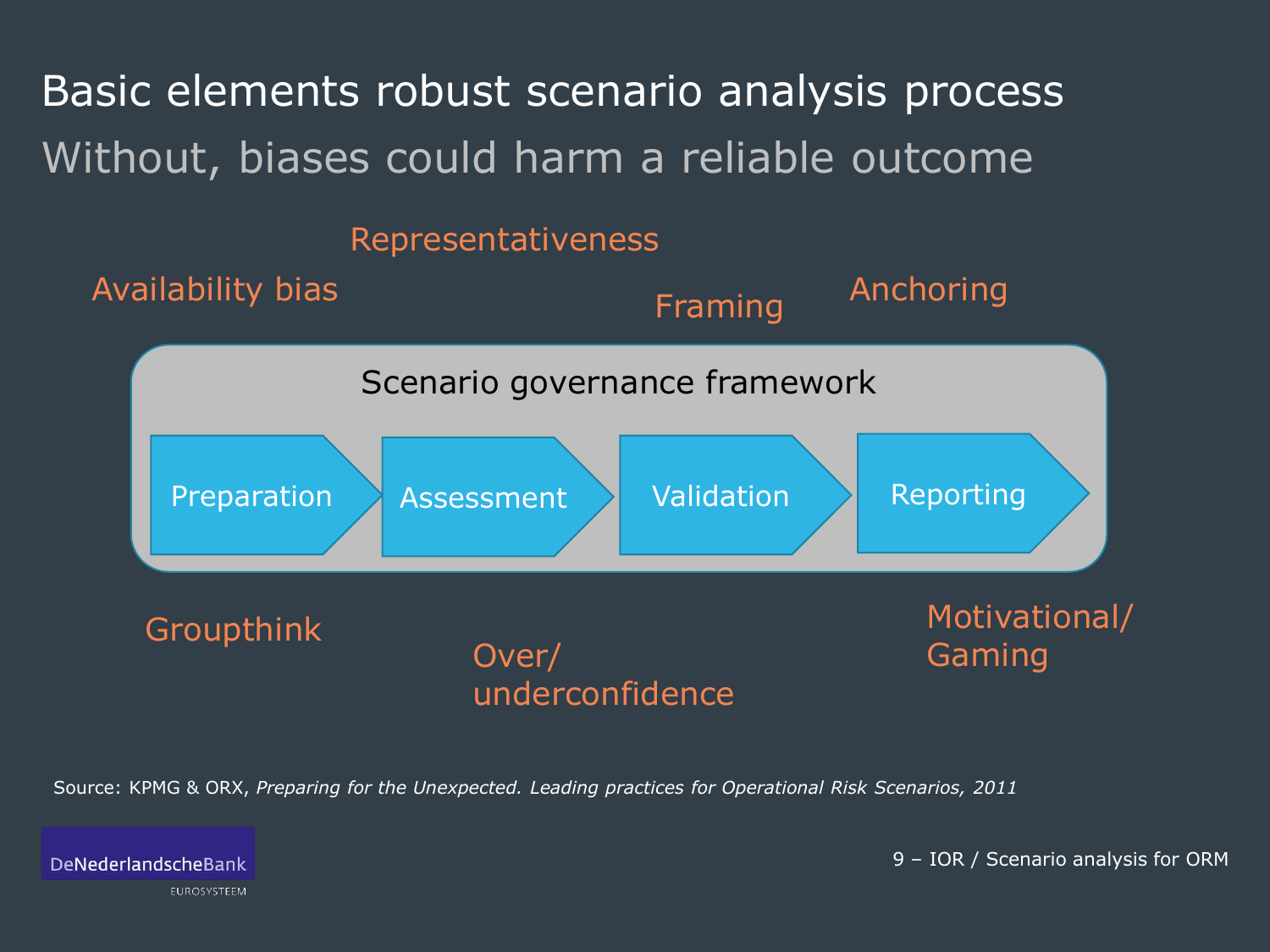Basic elements robust scenario analysis process Without, biases could harm a reliable outcome

### Representativeness



Source: KPMG & ORX, *Preparing for the Unexpected. Leading practices for Operational Risk Scenarios, 2011*

DeNederlandscheBank

EUROSYSTEEM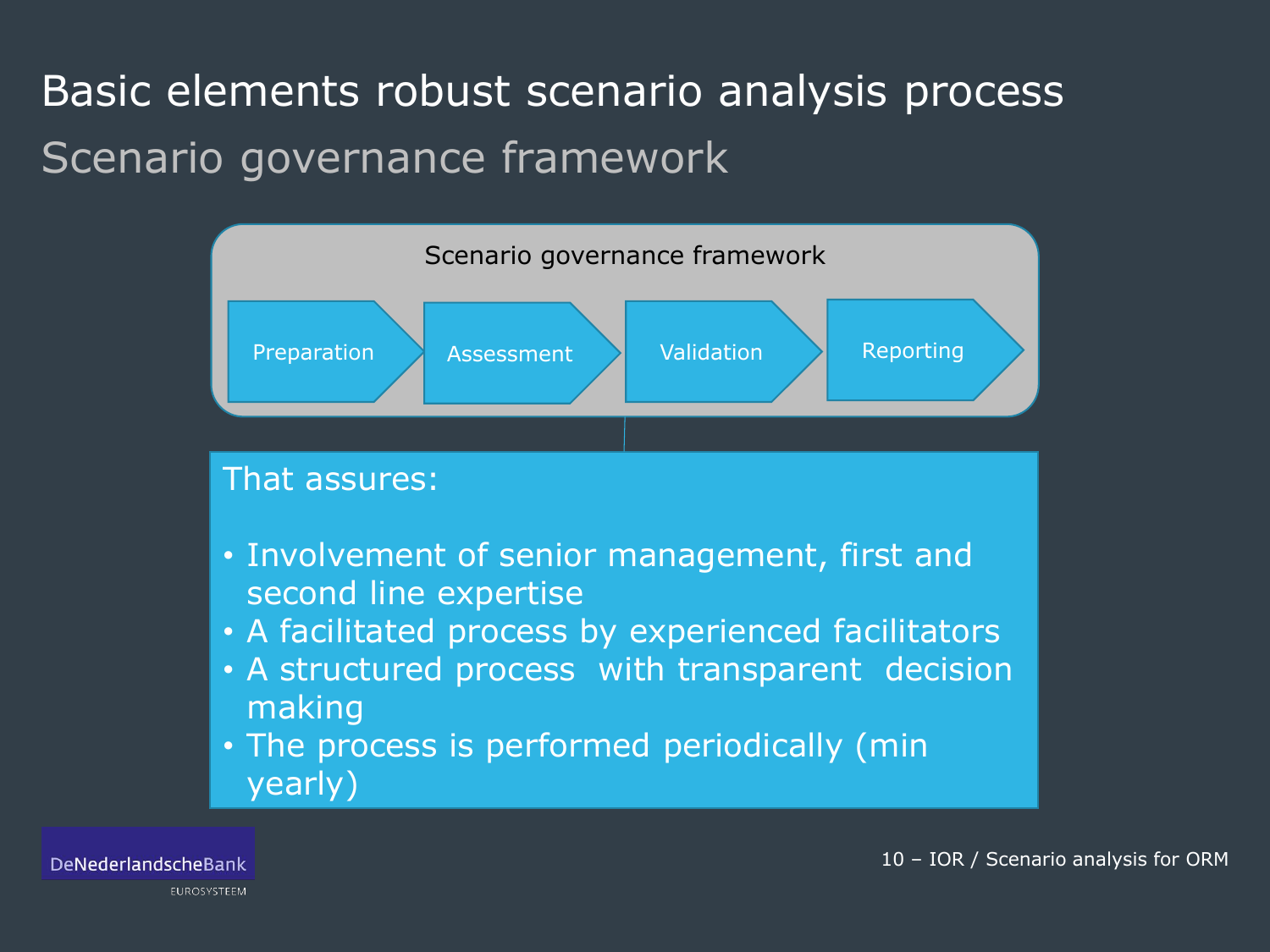## Basic elements robust scenario analysis process Scenario governance framework

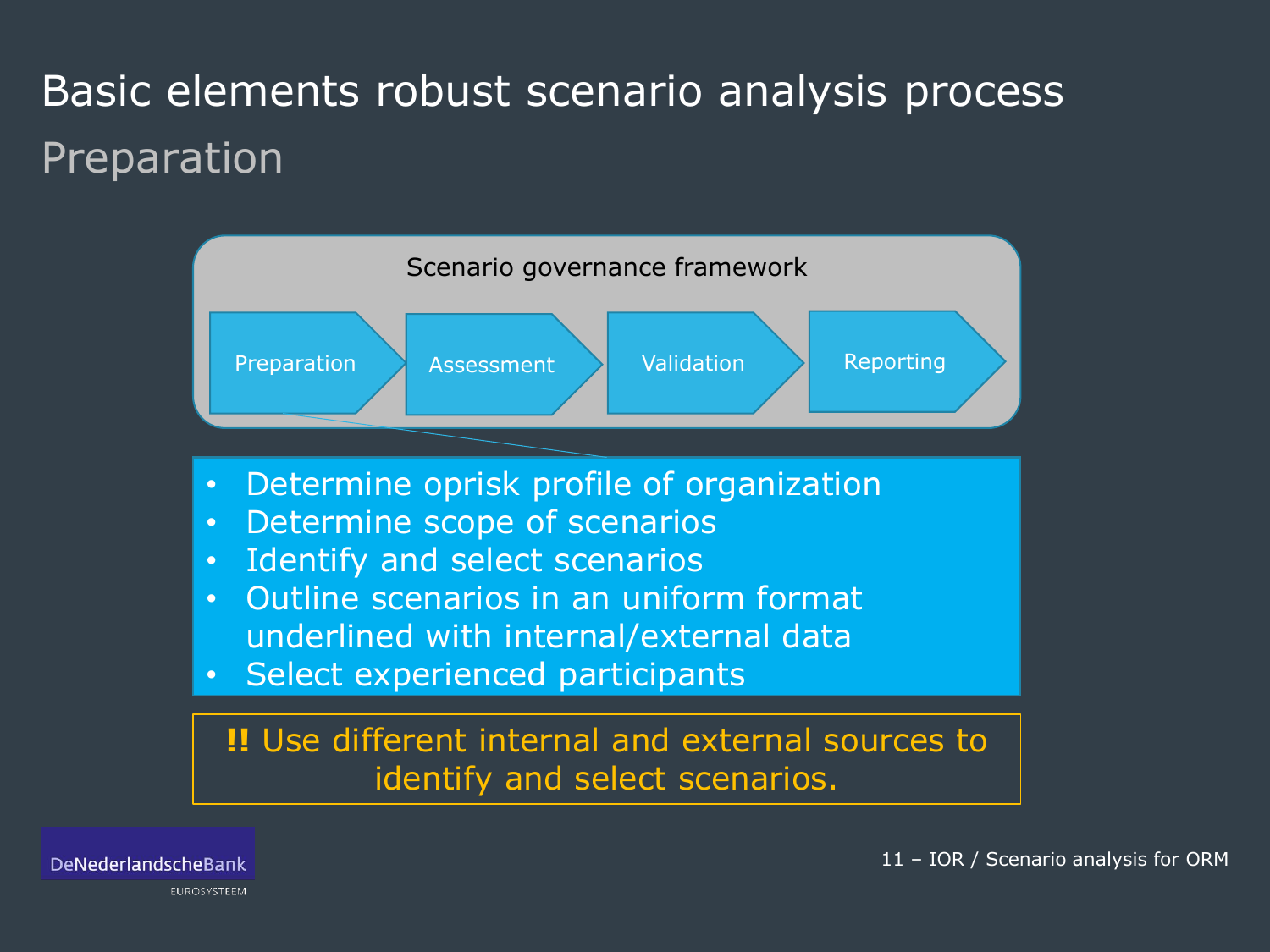## Basic elements robust scenario analysis process Preparation



DeNederlandscheBank

EUROSYSTEEM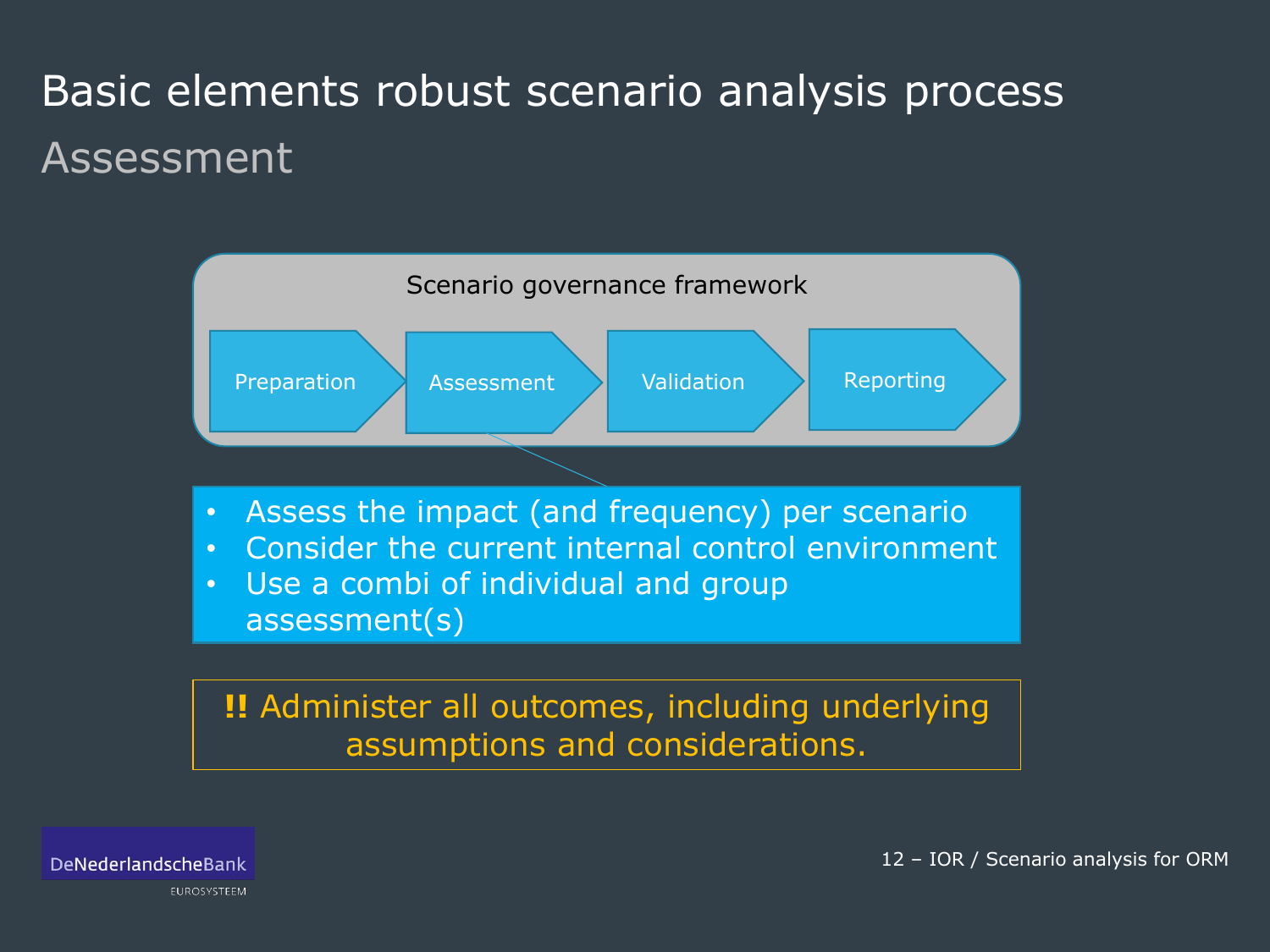## Basic elements robust scenario analysis process Assessment





12 – IOR / Scenario analysis for ORM

**EUROSYSTEEM**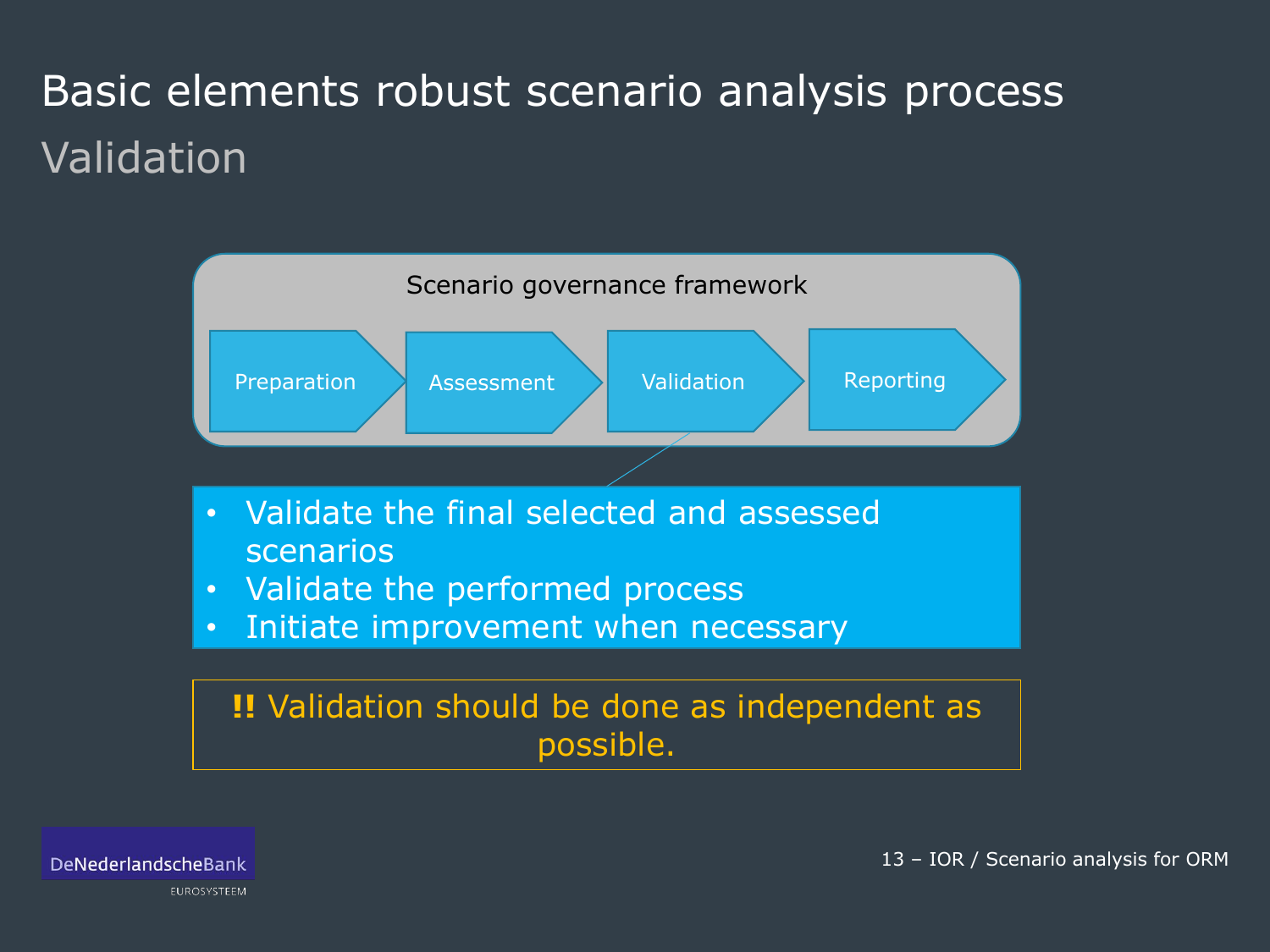## Basic elements robust scenario analysis process Validation



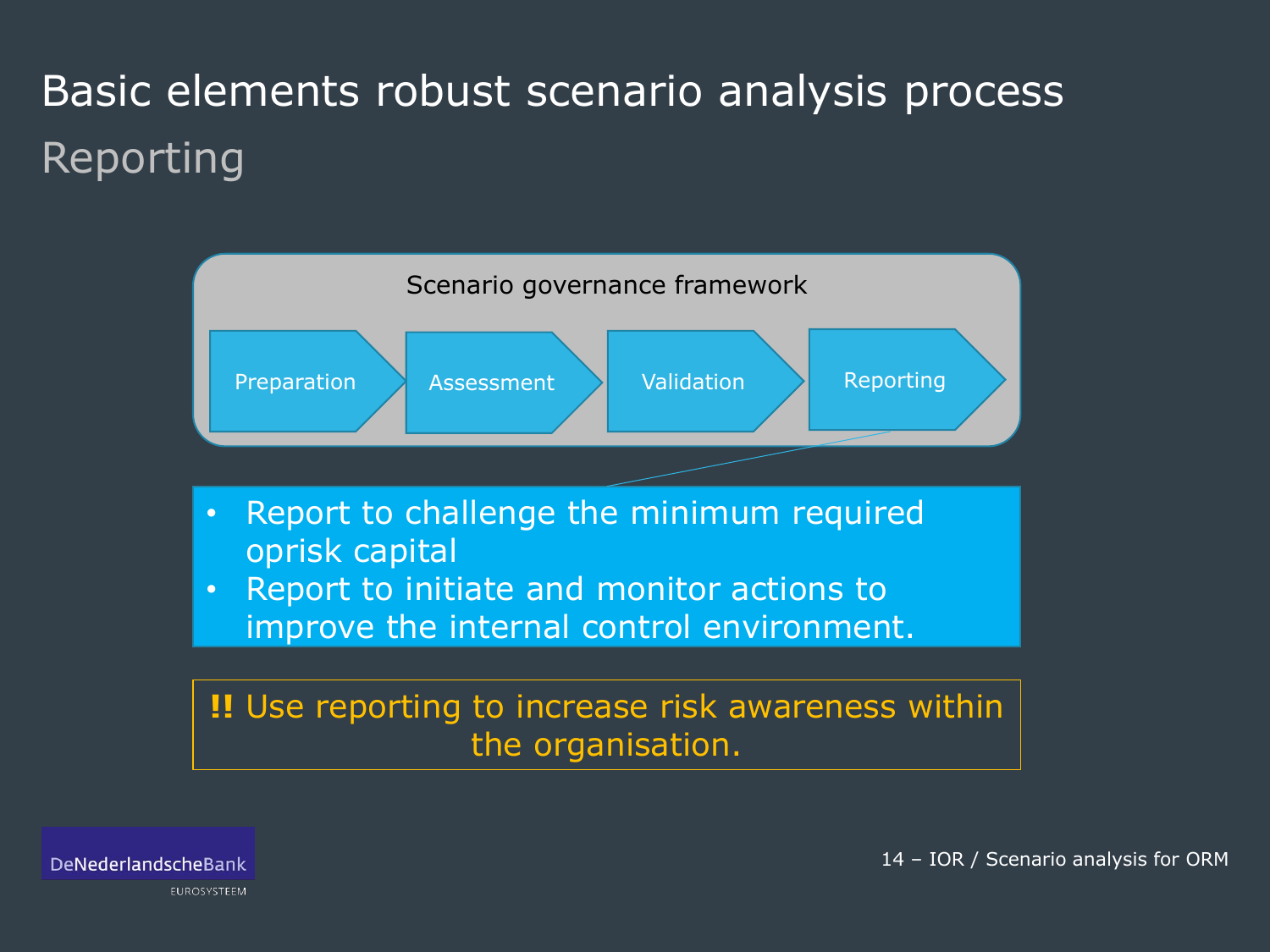## Basic elements robust scenario analysis process Reporting



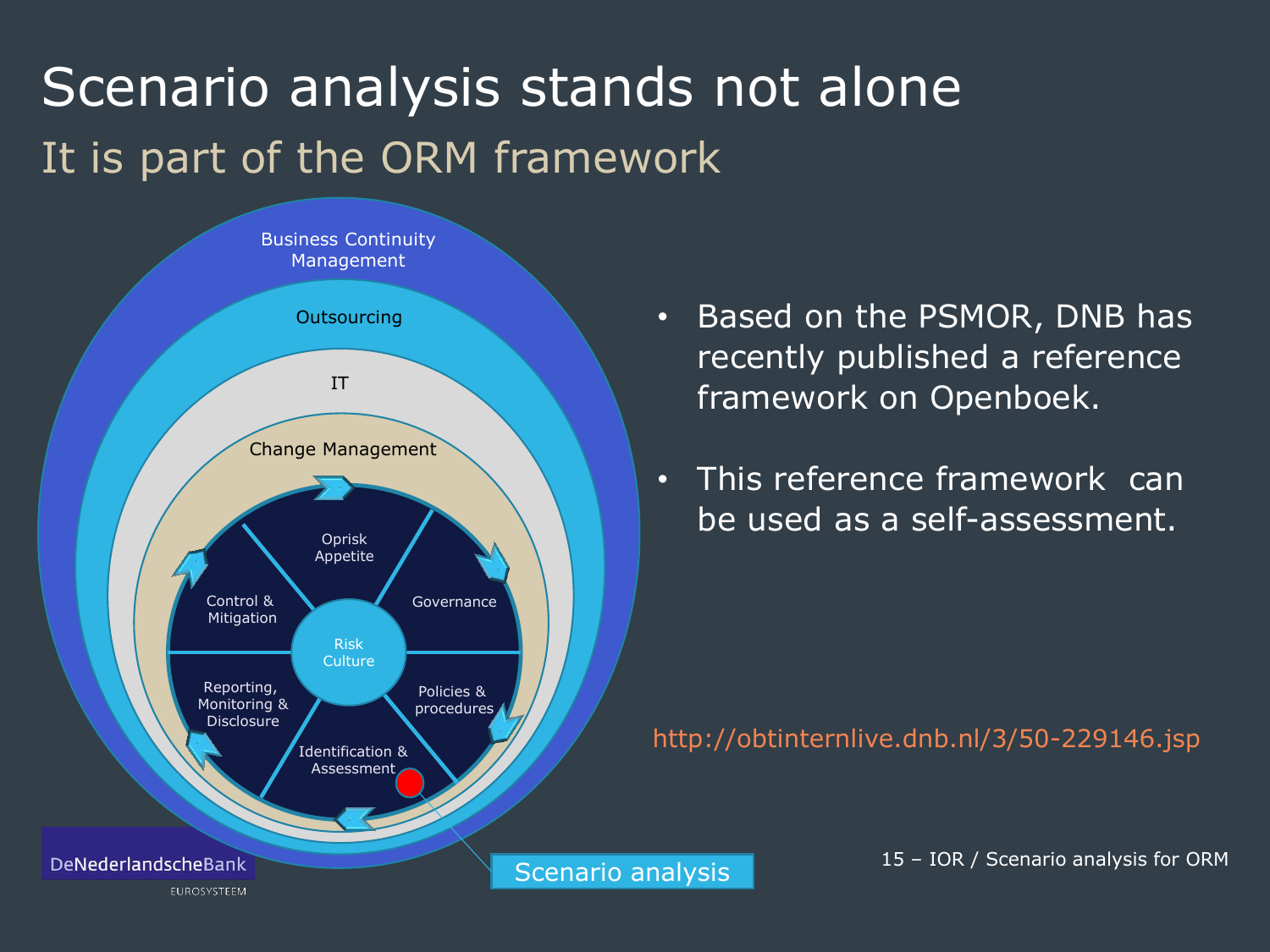# Scenario analysis stands not alone It is part of the ORM framework



- Based on the PSMOR, DNB has recently published a reference framework on Openboek.
- This reference framework can be used as a self-assessment.

http://obtinternlive.dnb.nl/3/50-229146.jsp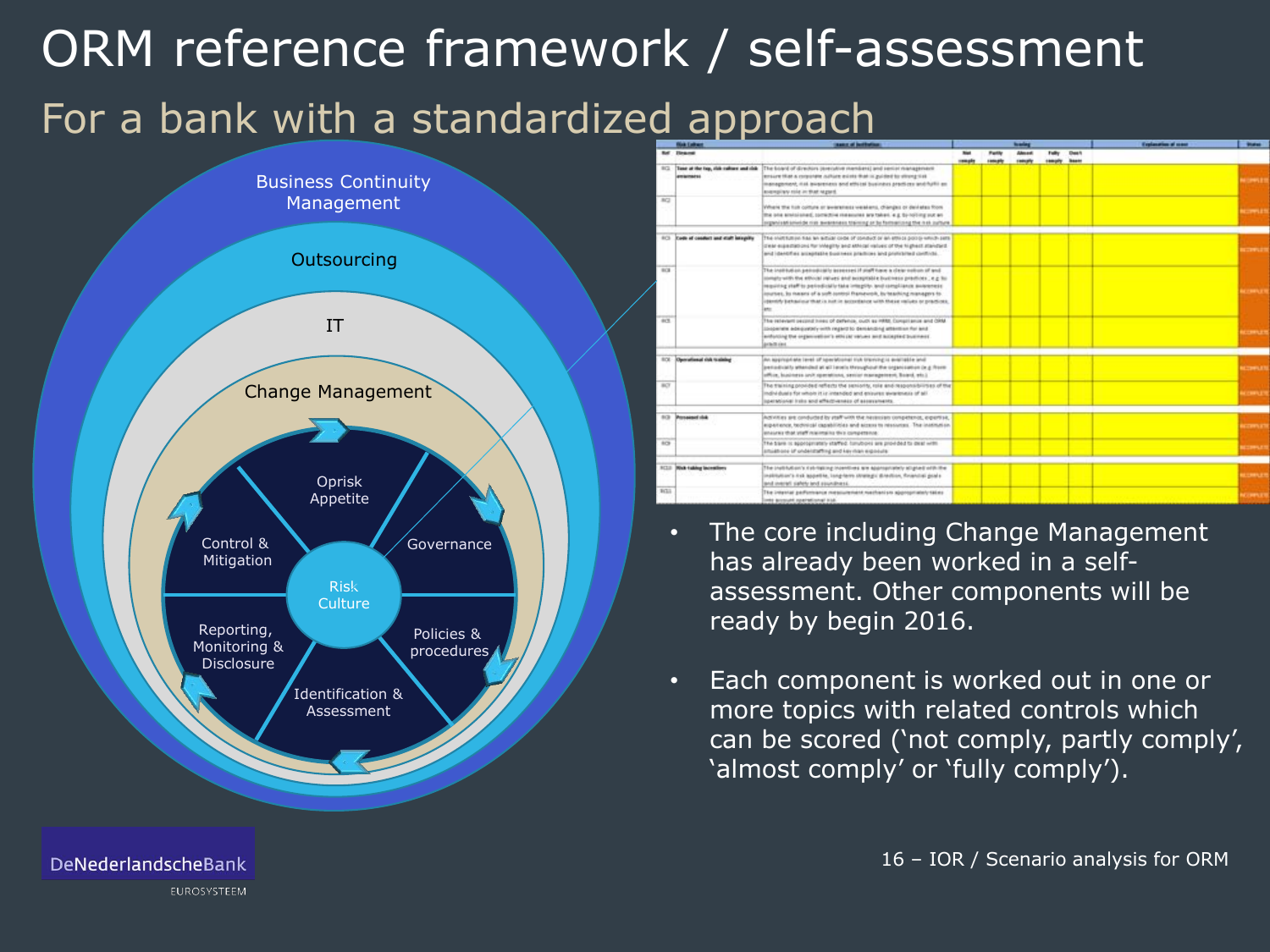# ORM reference framework / self-assessment For a bank with a standardized approach



|            | <b>Skik Extract</b>                                  | sans at bothers.                                                                                                                                                                                                                                                                                                                                                                                                 | <b><i><u>house</u></i></b> |                   |                  |              |       | <b>Explanation of some</b> | <b>Braker</b>    |
|------------|------------------------------------------------------|------------------------------------------------------------------------------------------------------------------------------------------------------------------------------------------------------------------------------------------------------------------------------------------------------------------------------------------------------------------------------------------------------------------|----------------------------|-------------------|------------------|--------------|-------|----------------------------|------------------|
|            | Ref : Ileanes                                        |                                                                                                                                                                                                                                                                                                                                                                                                                  | <b>Not</b>                 | <b>Fucily</b>     | Abnest           | Fully        | Des 4 |                            |                  |
|            |                                                      |                                                                                                                                                                                                                                                                                                                                                                                                                  | <b><i>smalls</i></b>       | <b>Listensity</b> | <b>Executive</b> | samply heats |       |                            |                  |
| RG.        | Time at the top, citie calling and citie<br>amamatsi | The board of directors (ereculive members) and senior management<br>ansure that a corporate nature exists that is guided to strong tisk<br>in an age next, making a color and a strict of the color and the product of the<br>avantation raise in that ragued.                                                                                                                                                   |                            |                   |                  |              |       |                            | <b>COMPANY</b>   |
| <b>RC2</b> |                                                      | Where the full comine or avversiess weakers, changes or deviates from<br>the one envisioned, contextive measures are taken, e.g. by noting out an<br>regardent and process in a series to provide the contract of the high-                                                                                                                                                                                      |                            |                   |                  |              |       |                            | <b>CONTRACTO</b> |
|            | FCI Cede of centers and staff integrity              | The INITERIA Rai an aiticle cribe of conduct or an effect potto which sets<br>Diese expectations for integitty and attinge respect of the highest standard.<br>and identifies acceptable business practices and proficiited controls.                                                                                                                                                                            |                            |                   |                  |              |       |                            | <b>COMMENT</b>   |
| 9GR        |                                                      | Ing for motion set of the west Plaint in teamers of accounts a still class to AT<br>comply with the effected intrues and acceptable business practices ; e.g. for<br>inquiring staff to periodicially take integrity, and compliance awareness<br>iourses, lo nases of a soft-control francevolt, by teaching managers to.<br>identify behaviour that is just in accordance with these values or practices.<br>m |                            |                   |                  |              |       |                            | <b>COMPANY</b>   |
| <b>ACT</b> |                                                      | The retevant pecond hires of defense, outh as HRM, Constitence and ORM.<br>England with automatic units of the page discussions and an experience<br>antisting the organization's ethical values and accepted business.<br>printing                                                                                                                                                                              |                            |                   |                  |              |       |                            | <b>COMPUTE</b>   |
|            | <b>SCE Operational risk training</b>                 | An appropriate level of specialistic sub-traving is available and<br>periodically attended at all levels throughout the organization (e.g. from<br>office, business and operations, senior management, board, etc.).                                                                                                                                                                                             |                            |                   |                  |              |       |                            | <b>COMPUTE</b>   |
| BOT        |                                                      | The training provided reflects the seniority, role and responsibilities of the<br>The first students resulting business to about silver to noute to also britant<br>spectational trains and affectiveness of assurancests.                                                                                                                                                                                       |                            |                   |                  |              |       |                            | <b>COMPUT</b>    |
|            | <b>SCI Porsessolving</b>                             | Activities six conducted by staff with the havanism competence, expertise,<br>argust annis, technical capabilities and access to resources. The institution,<br>analyzed that your maintains that compensive                                                                                                                                                                                                     |                            |                   |                  |              |       |                            | <b>COMMENT</b>   |
| 83         |                                                      | The Sare is appropriately staffed, forubons are provided to deal with<br>studences removed brist prifectaries to access to                                                                                                                                                                                                                                                                                       |                            |                   |                  |              |       |                            | COMMUNI          |
|            | <b>RCLD</b> Divis taking incentives                  | The institution's risk-taking incentives are appropriately allighed orbitate<br>institution's hid aspetite, long-term strategic direction, Reanchal goals<br>and insire bed states throw line.                                                                                                                                                                                                                   |                            |                   |                  |              |       |                            | <b>COMPUTE</b>   |
| ECL1       |                                                      | The intental garfurnance messurement mechanism appropriately takes<br>nes account sparational stat-                                                                                                                                                                                                                                                                                                              |                            |                   |                  |              |       |                            | <b>COMPASS</b>   |

- The core including Change Management has already been worked in a selfassessment. Other components will be ready by begin 2016.
- Each component is worked out in one or more topics with related controls which can be scored ('not comply, partly comply', 'almost comply' or 'fully comply').

EUROSYSTEEM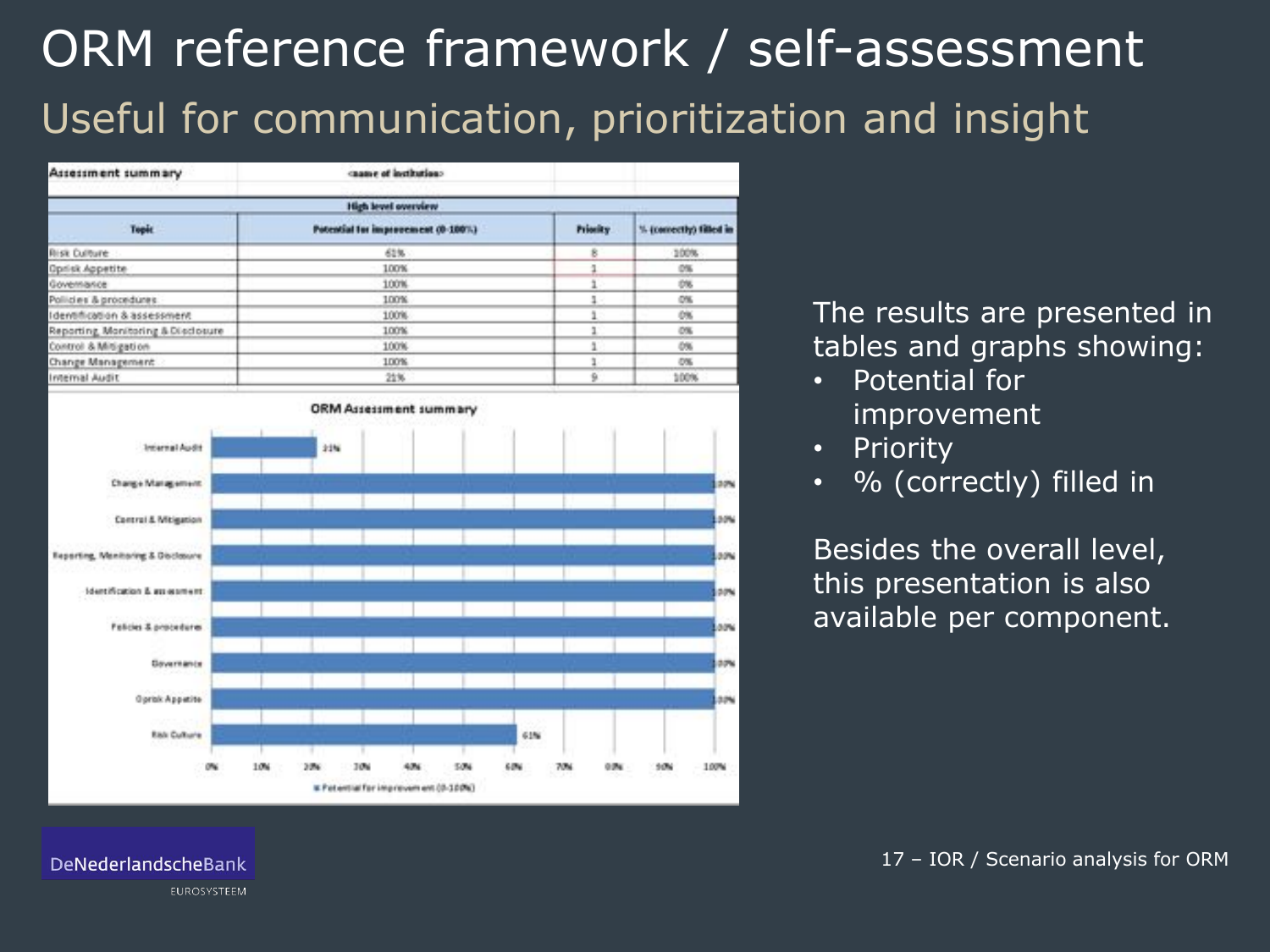# ORM reference framework / self-assessment Useful for communication, prioritization and insight

| Assessment summary                 |                                    |          |                        |  |  |  |  |  |  |  |
|------------------------------------|------------------------------------|----------|------------------------|--|--|--|--|--|--|--|
| High level overview                |                                    |          |                        |  |  |  |  |  |  |  |
| <b>Topic</b>                       | Potential for improvement (0-100%) | Priority | % (comectly) filled in |  |  |  |  |  |  |  |
| <b>Risk Culture</b>                | 61%                                | R        | 100%                   |  |  |  |  |  |  |  |
| Oprisk Appetite                    | 100%                               |          | 0%                     |  |  |  |  |  |  |  |
| Governance                         | 100%                               |          | 0%                     |  |  |  |  |  |  |  |
| Pollicies & procedures             | 100%                               | $1 -$    | O%                     |  |  |  |  |  |  |  |
| Identification & assessment        | 100%                               |          | 0%                     |  |  |  |  |  |  |  |
| Reporting, Monitoring & Disclosure | 100%                               |          | 0%                     |  |  |  |  |  |  |  |
| Control & Mitigation               | 100%                               |          | 0%                     |  |  |  |  |  |  |  |
| Change Management                  | 100%                               |          | D%                     |  |  |  |  |  |  |  |
| Internal Audit                     | 21%                                | ü        | 100%                   |  |  |  |  |  |  |  |



The results are presented in tables and graphs showing:

- Potential for improvement
- **Priority**
- % (correctly) filled in

Besides the overall level, this presentation is also available per component.

DeNederlandscheBank

EUROSYSTEEM